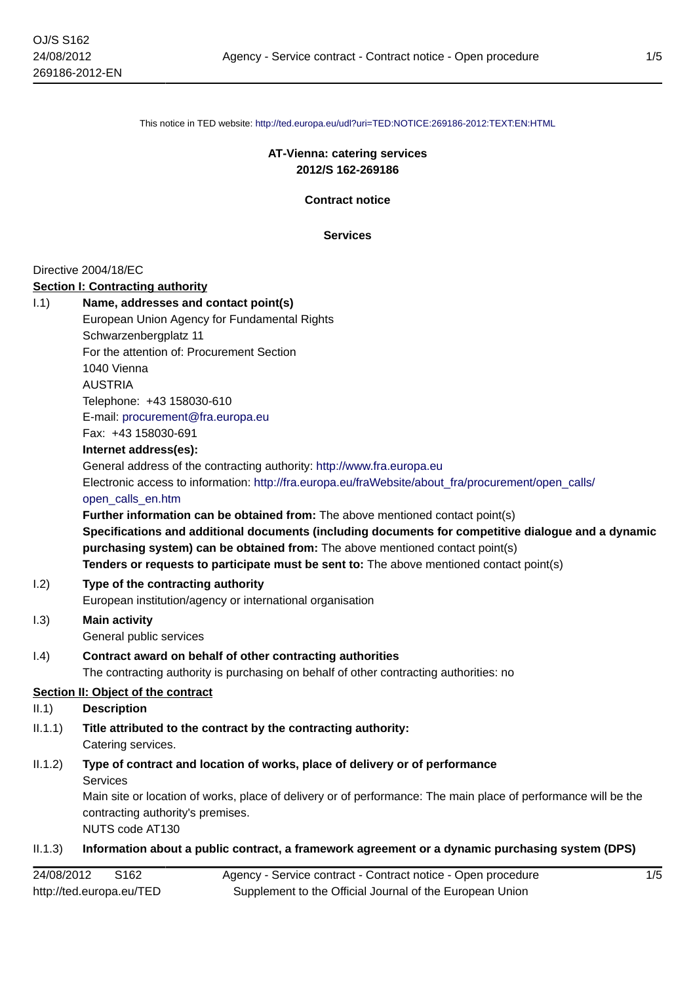This notice in TED website: <http://ted.europa.eu/udl?uri=TED:NOTICE:269186-2012:TEXT:EN:HTML>

## **AT-Vienna: catering services 2012/S 162-269186**

**Contract notice**

**Services**

#### Directive 2004/18/EC

#### **Section I: Contracting authority**

| <u>Secuoli I. Colluaculig authority</u>                                                             |
|-----------------------------------------------------------------------------------------------------|
| Name, addresses and contact point(s)                                                                |
| European Union Agency for Fundamental Rights                                                        |
| Schwarzenbergplatz 11                                                                               |
| For the attention of: Procurement Section                                                           |
| 1040 Vienna                                                                                         |
| <b>AUSTRIA</b>                                                                                      |
| Telephone: +43 158030-610                                                                           |
| E-mail: procurement@fra.europa.eu                                                                   |
| Fax: +43 158030-691                                                                                 |
| Internet address(es):                                                                               |
| General address of the contracting authority: http://www.fra.europa.eu                              |
| Electronic access to information: http://fra.europa.eu/fraWebsite/about fra/procurement/open calls/ |
| open calls en.htm                                                                                   |
| Further information can be obtained from: The above mentioned contact point(s)                      |
| Specifications and additional documents (including documents for competitive dialogue and a dynamic |
| purchasing system) can be obtained from: The above mentioned contact point(s)                       |
| Tenders or requests to participate must be sent to: The above mentioned contact point(s)            |
| Type of the contracting authority                                                                   |
| European institution/agency or international organisation                                           |
| <b>Main activity</b>                                                                                |
| General public services                                                                             |
| Contract award on behalf of other contracting authorities                                           |
| The contracting authority is purchasing on behalf of other contracting authorities: no              |
| Section II: Object of the contract                                                                  |
| <b>Description</b>                                                                                  |
| Title attributed to the contract by the contracting authority:                                      |
|                                                                                                     |

Catering services.

## II.1.2) **Type of contract and location of works, place of delivery or of performance** Services

Main site or location of works, place of delivery or of performance: The main place of performance will be the contracting authority's premises.

NUTS code AT130

# II.1.3) **Information about a public contract, a framework agreement or a dynamic purchasing system (DPS)**

| 24/08/2012<br>S <sub>162</sub> | Agency - Service contract - Contract notice - Open procedure |
|--------------------------------|--------------------------------------------------------------|
| http://ted.europa.eu/TED       | Supplement to the Official Journal of the European Union     |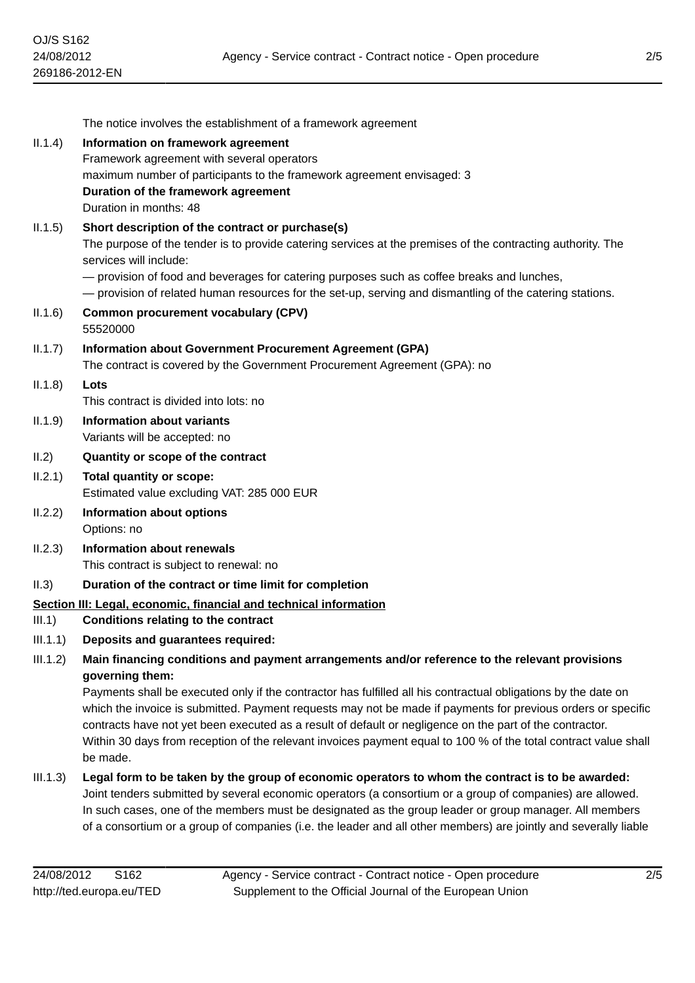|          | The notice involves the establishment of a framework agreement                                                                                                                                                                                                                                                                                                                                                                                                            |
|----------|---------------------------------------------------------------------------------------------------------------------------------------------------------------------------------------------------------------------------------------------------------------------------------------------------------------------------------------------------------------------------------------------------------------------------------------------------------------------------|
| II.1.4)  | Information on framework agreement                                                                                                                                                                                                                                                                                                                                                                                                                                        |
|          | Framework agreement with several operators                                                                                                                                                                                                                                                                                                                                                                                                                                |
|          | maximum number of participants to the framework agreement envisaged: 3                                                                                                                                                                                                                                                                                                                                                                                                    |
|          | Duration of the framework agreement                                                                                                                                                                                                                                                                                                                                                                                                                                       |
|          | Duration in months: 48                                                                                                                                                                                                                                                                                                                                                                                                                                                    |
| II.1.5)  | Short description of the contract or purchase(s)                                                                                                                                                                                                                                                                                                                                                                                                                          |
|          | The purpose of the tender is to provide catering services at the premises of the contracting authority. The<br>services will include:                                                                                                                                                                                                                                                                                                                                     |
|          | - provision of food and beverages for catering purposes such as coffee breaks and lunches,<br>- provision of related human resources for the set-up, serving and dismantling of the catering stations.                                                                                                                                                                                                                                                                    |
| II.1.6)  | <b>Common procurement vocabulary (CPV)</b><br>55520000                                                                                                                                                                                                                                                                                                                                                                                                                    |
| II.1.7)  | Information about Government Procurement Agreement (GPA)                                                                                                                                                                                                                                                                                                                                                                                                                  |
|          | The contract is covered by the Government Procurement Agreement (GPA): no                                                                                                                                                                                                                                                                                                                                                                                                 |
| II.1.8)  | Lots                                                                                                                                                                                                                                                                                                                                                                                                                                                                      |
|          | This contract is divided into lots: no                                                                                                                                                                                                                                                                                                                                                                                                                                    |
| II.1.9)  | <b>Information about variants</b>                                                                                                                                                                                                                                                                                                                                                                                                                                         |
|          | Variants will be accepted: no                                                                                                                                                                                                                                                                                                                                                                                                                                             |
| II.2)    | Quantity or scope of the contract                                                                                                                                                                                                                                                                                                                                                                                                                                         |
| II.2.1)  | Total quantity or scope:<br>Estimated value excluding VAT: 285 000 EUR                                                                                                                                                                                                                                                                                                                                                                                                    |
| II.2.2)  | Information about options<br>Options: no                                                                                                                                                                                                                                                                                                                                                                                                                                  |
| II.2.3)  | <b>Information about renewals</b>                                                                                                                                                                                                                                                                                                                                                                                                                                         |
|          | This contract is subject to renewal: no                                                                                                                                                                                                                                                                                                                                                                                                                                   |
| II.3)    | Duration of the contract or time limit for completion                                                                                                                                                                                                                                                                                                                                                                                                                     |
|          | Section III: Legal, economic, financial and technical information                                                                                                                                                                                                                                                                                                                                                                                                         |
| III.1)   | Conditions relating to the contract                                                                                                                                                                                                                                                                                                                                                                                                                                       |
| III.1.1) | Deposits and guarantees required:                                                                                                                                                                                                                                                                                                                                                                                                                                         |
| III.1.2) | Main financing conditions and payment arrangements and/or reference to the relevant provisions<br>governing them:                                                                                                                                                                                                                                                                                                                                                         |
|          | Payments shall be executed only if the contractor has fulfilled all his contractual obligations by the date on<br>which the invoice is submitted. Payment requests may not be made if payments for previous orders or specific<br>contracts have not yet been executed as a result of default or negligence on the part of the contractor.<br>Within 30 days from reception of the relevant invoices payment equal to 100 % of the total contract value shall<br>be made. |
| III.1.3) | Legal form to be taken by the group of economic operators to whom the contract is to be awarded:<br>Joint tenders submitted by several economic operators (a consortium or a group of companies) are allowed.<br>In such cases, one of the members must be designated as the group leader or group manager. All members<br>of a consortium or a group of companies (i.e. the leader and all other members) are jointly and severally liable                               |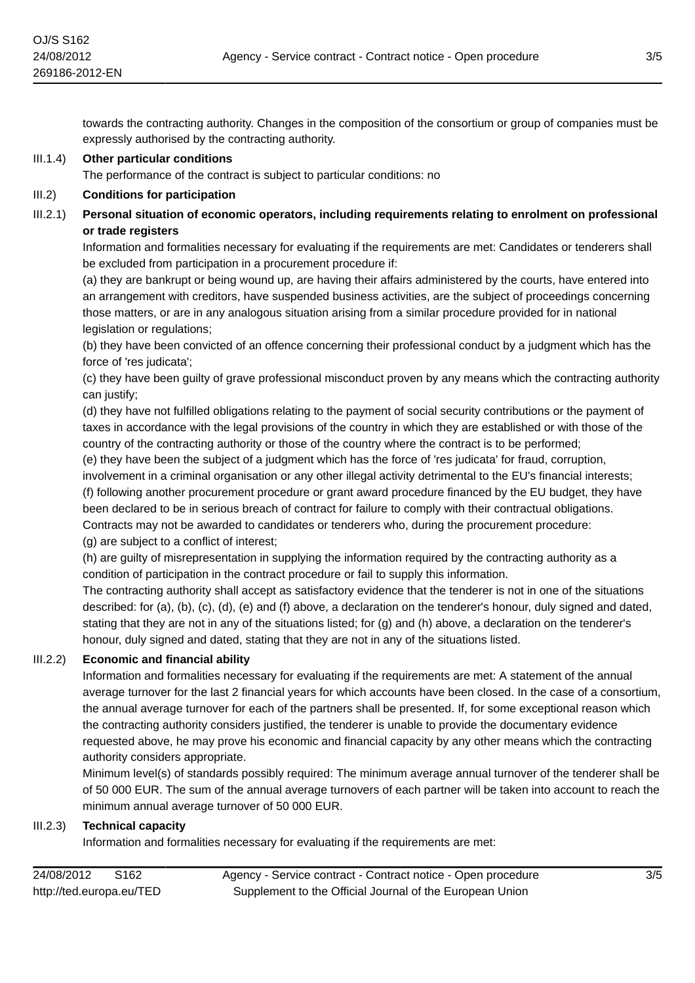towards the contracting authority. Changes in the composition of the consortium or group of companies must be expressly authorised by the contracting authority.

## III.1.4) **Other particular conditions**

The performance of the contract is subject to particular conditions: no

#### III.2) **Conditions for participation**

## III.2.1) **Personal situation of economic operators, including requirements relating to enrolment on professional or trade registers**

Information and formalities necessary for evaluating if the requirements are met: Candidates or tenderers shall be excluded from participation in a procurement procedure if:

(a) they are bankrupt or being wound up, are having their affairs administered by the courts, have entered into an arrangement with creditors, have suspended business activities, are the subject of proceedings concerning those matters, or are in any analogous situation arising from a similar procedure provided for in national legislation or regulations;

(b) they have been convicted of an offence concerning their professional conduct by a judgment which has the force of 'res judicata';

(c) they have been guilty of grave professional misconduct proven by any means which the contracting authority can justify;

(d) they have not fulfilled obligations relating to the payment of social security contributions or the payment of taxes in accordance with the legal provisions of the country in which they are established or with those of the country of the contracting authority or those of the country where the contract is to be performed;

(e) they have been the subject of a judgment which has the force of 'res judicata' for fraud, corruption,

involvement in a criminal organisation or any other illegal activity detrimental to the EU's financial interests; (f) following another procurement procedure or grant award procedure financed by the EU budget, they have been declared to be in serious breach of contract for failure to comply with their contractual obligations. Contracts may not be awarded to candidates or tenderers who, during the procurement procedure: (g) are subject to a conflict of interest;

(h) are guilty of misrepresentation in supplying the information required by the contracting authority as a condition of participation in the contract procedure or fail to supply this information.

The contracting authority shall accept as satisfactory evidence that the tenderer is not in one of the situations described: for (a), (b), (c), (d), (e) and (f) above, a declaration on the tenderer's honour, duly signed and dated, stating that they are not in any of the situations listed; for (g) and (h) above, a declaration on the tenderer's honour, duly signed and dated, stating that they are not in any of the situations listed.

## III.2.2) **Economic and financial ability**

Information and formalities necessary for evaluating if the requirements are met: A statement of the annual average turnover for the last 2 financial years for which accounts have been closed. In the case of a consortium, the annual average turnover for each of the partners shall be presented. If, for some exceptional reason which the contracting authority considers justified, the tenderer is unable to provide the documentary evidence requested above, he may prove his economic and financial capacity by any other means which the contracting authority considers appropriate.

Minimum level(s) of standards possibly required: The minimum average annual turnover of the tenderer shall be of 50 000 EUR. The sum of the annual average turnovers of each partner will be taken into account to reach the minimum annual average turnover of 50 000 EUR.

#### III.2.3) **Technical capacity**

Information and formalities necessary for evaluating if the requirements are met: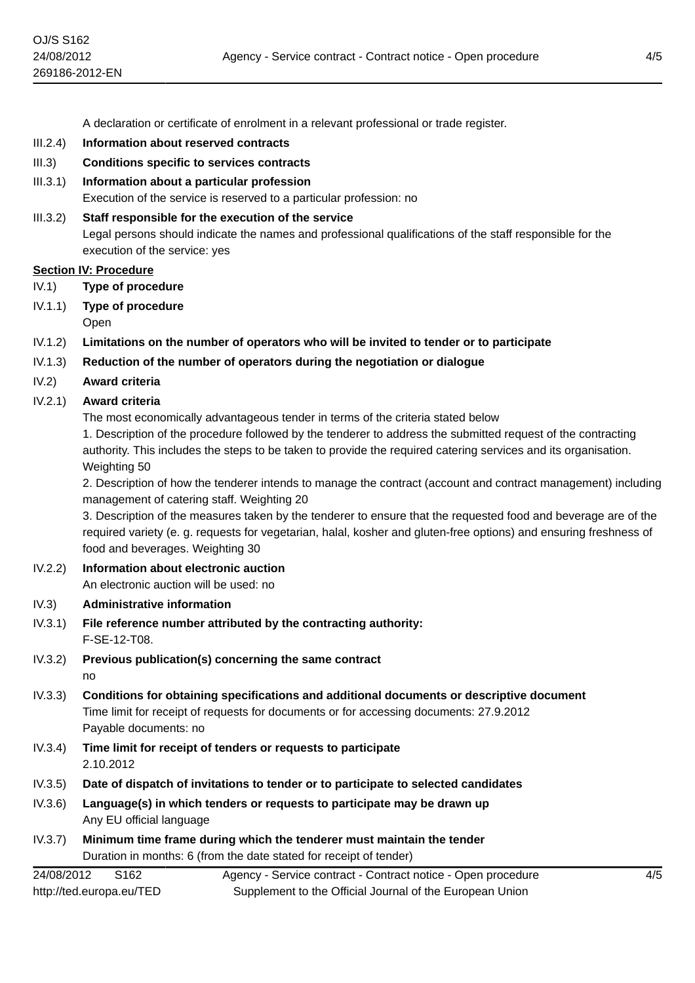A declaration or certificate of enrolment in a relevant professional or trade register.

- III.2.4) **Information about reserved contracts**
- III.3) **Conditions specific to services contracts**
- III.3.1) **Information about a particular profession** Execution of the service is reserved to a particular profession: no
- III.3.2) **Staff responsible for the execution of the service** Legal persons should indicate the names and professional qualifications of the staff responsible for the execution of the service: yes

#### **Section IV: Procedure**

- IV.1) **Type of procedure**
- IV.1.1) **Type of procedure** Open
- IV.1.2) **Limitations on the number of operators who will be invited to tender or to participate**
- IV.1.3) **Reduction of the number of operators during the negotiation or dialogue**
- IV.2) **Award criteria**
- IV.2.1) **Award criteria**

The most economically advantageous tender in terms of the criteria stated below

1. Description of the procedure followed by the tenderer to address the submitted request of the contracting authority. This includes the steps to be taken to provide the required catering services and its organisation. Weighting 50

2. Description of how the tenderer intends to manage the contract (account and contract management) including management of catering staff. Weighting 20

3. Description of the measures taken by the tenderer to ensure that the requested food and beverage are of the required variety (e. g. requests for vegetarian, halal, kosher and gluten-free options) and ensuring freshness of food and beverages. Weighting 30

- IV.2.2) **Information about electronic auction** An electronic auction will be used: no
- IV.3) **Administrative information**
- IV.3.1) **File reference number attributed by the contracting authority:** F-SE-12-T08.
- IV.3.2) **Previous publication(s) concerning the same contract** no
- IV.3.3) **Conditions for obtaining specifications and additional documents or descriptive document** Time limit for receipt of requests for documents or for accessing documents: 27.9.2012 Payable documents: no
- IV.3.4) **Time limit for receipt of tenders or requests to participate** 2.10.2012
- IV.3.5) **Date of dispatch of invitations to tender or to participate to selected candidates**
- IV.3.6) **Language(s) in which tenders or requests to participate may be drawn up** Any EU official language
- IV.3.7) **Minimum time frame during which the tenderer must maintain the tender** Duration in months: 6 (from the date stated for receipt of tender)

24/08/2012 S162 http://ted.europa.eu/TED Agency - Service contract - Contract notice - Open procedure Supplement to the Official Journal of the European Union